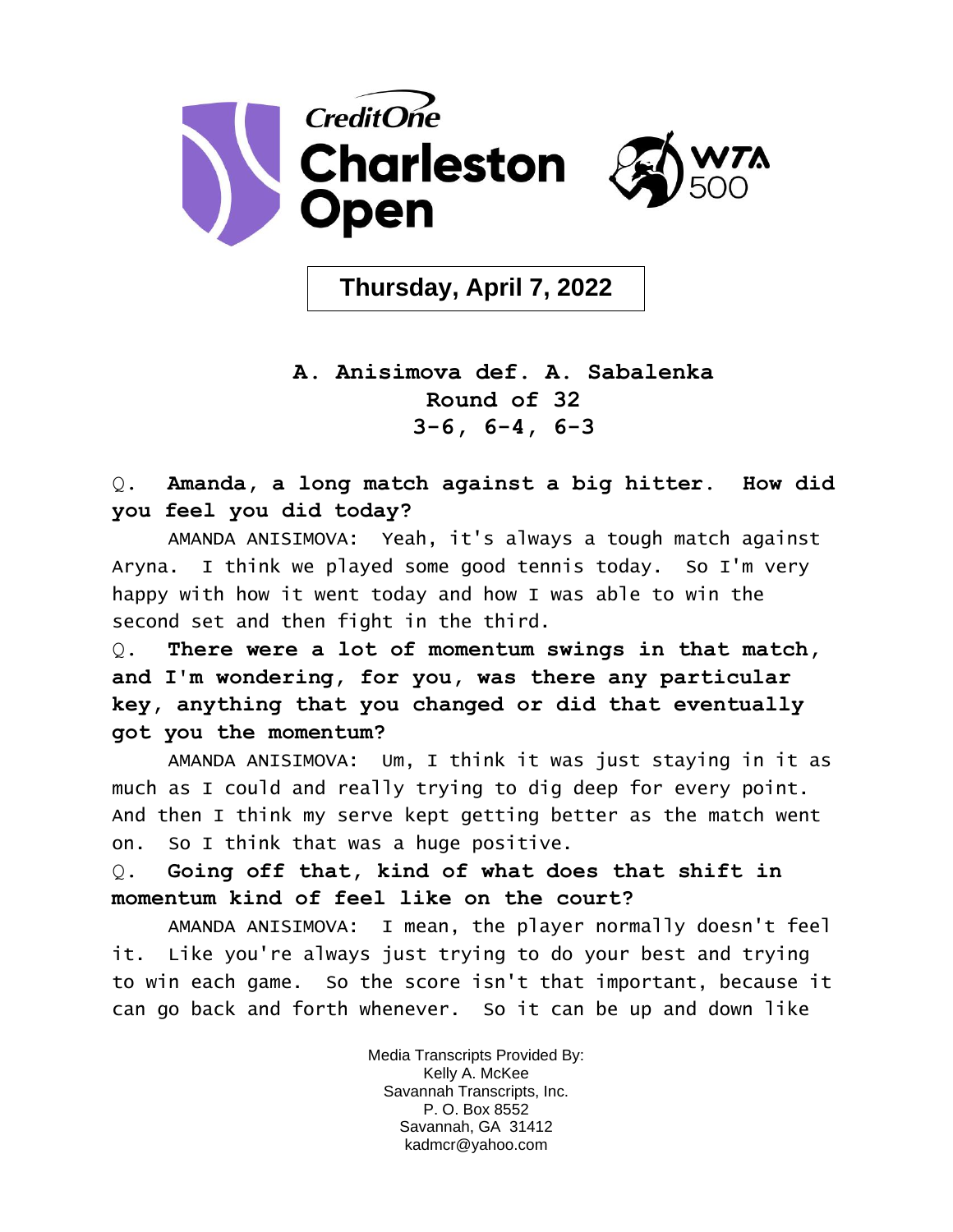

**Thursday, April 7, 2022**

## **A. Anisimova def. A. Sabalenka Round of 32 3-6, 6-4, 6-3**

Q. **Amanda, a long match against a big hitter. How did you feel you did today?** 

AMANDA ANISIMOVA: Yeah, it's always a tough match against Aryna. I think we played some good tennis today. So I'm very happy with how it went today and how I was able to win the second set and then fight in the third.

Q. **There were a lot of momentum swings in that match, and I'm wondering, for you, was there any particular key, anything that you changed or did that eventually got you the momentum?** 

AMANDA ANISIMOVA: Um, I think it was just staying in it as much as I could and really trying to dig deep for every point. And then I think my serve kept getting better as the match went on. So I think that was a huge positive.

Q. **Going off that, kind of what does that shift in momentum kind of feel like on the court?** 

AMANDA ANISIMOVA: I mean, the player normally doesn't feel it. Like you're always just trying to do your best and trying to win each game. So the score isn't that important, because it can go back and forth whenever. So it can be up and down like

> Media Transcripts Provided By: Kelly A. McKee Savannah Transcripts, Inc. P. O. Box 8552 Savannah, GA 31412 kadmcr@yahoo.com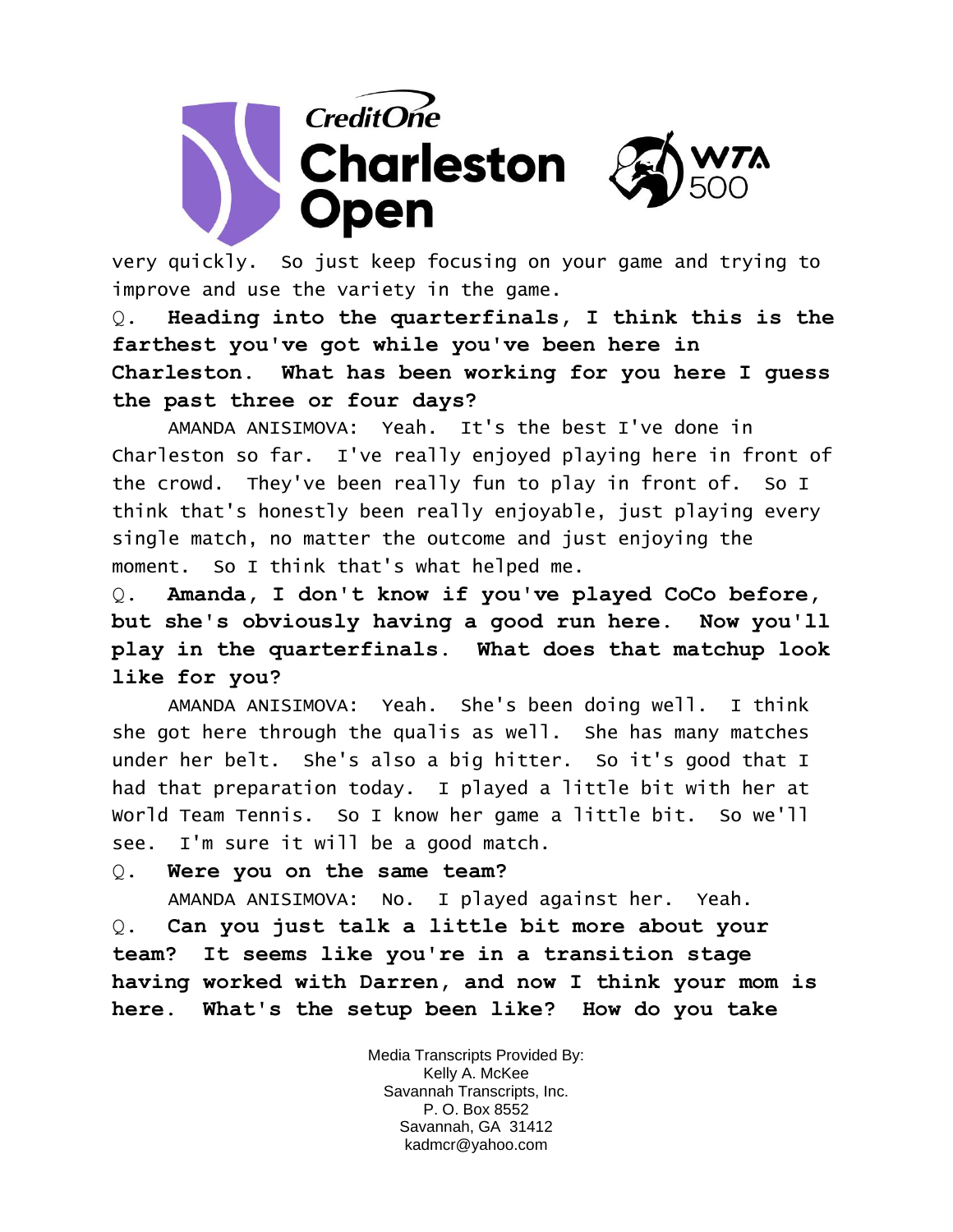

very quickly. So just keep focusing on your game and trying to improve and use the variety in the game.

Q. **Heading into the quarterfinals, I think this is the farthest you've got while you've been here in Charleston. What has been working for you here I guess the past three or four days?** 

AMANDA ANISIMOVA: Yeah. It's the best I've done in Charleston so far. I've really enjoyed playing here in front of the crowd. They've been really fun to play in front of. So I think that's honestly been really enjoyable, just playing every single match, no matter the outcome and just enjoying the moment. So I think that's what helped me.

Q. **Amanda, I don't know if you've played CoCo before, but she's obviously having a good run here. Now you'll play in the quarterfinals. What does that matchup look like for you?** 

AMANDA ANISIMOVA: Yeah. She's been doing well. I think she got here through the qualis as well. She has many matches under her belt. She's also a big hitter. So it's good that I had that preparation today. I played a little bit with her at World Team Tennis. So I know her game a little bit. So we'll see. I'm sure it will be a good match.

## Q. **Were you on the same team?**

AMANDA ANISIMOVA: No. I played against her. Yeah.

Q. **Can you just talk a little bit more about your team? It seems like you're in a transition stage having worked with Darren, and now I think your mom is here. What's the setup been like? How do you take** 

> Media Transcripts Provided By: Kelly A. McKee Savannah Transcripts, Inc. P. O. Box 8552 Savannah, GA 31412 kadmcr@yahoo.com